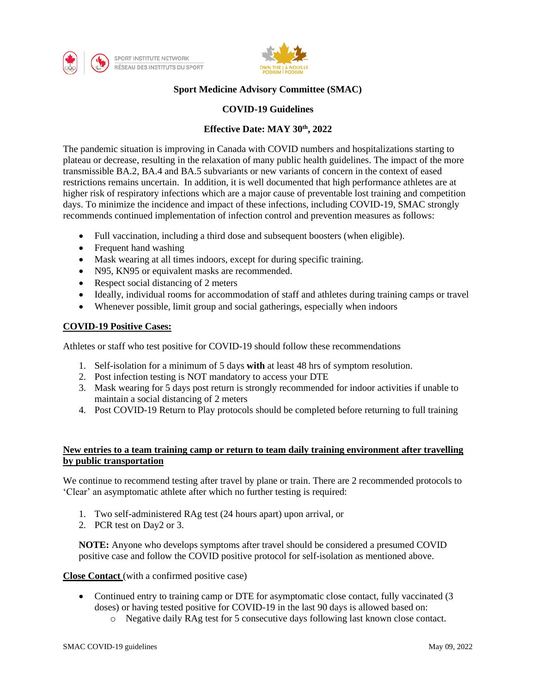



# **Sport Medicine Advisory Committee (SMAC)**

### **COVID-19 Guidelines**

## **Effective Date: MAY 30th, 2022**

The pandemic situation is improving in Canada with COVID numbers and hospitalizations starting to plateau or decrease, resulting in the relaxation of many public health guidelines. The impact of the more transmissible BA.2, BA.4 and BA.5 subvariants or new variants of concern in the context of eased restrictions remains uncertain. In addition, it is well documented that high performance athletes are at higher risk of respiratory infections which are a major cause of preventable lost training and competition days. To minimize the incidence and impact of these infections, including COVID-19, SMAC strongly recommends continued implementation of infection control and prevention measures as follows:

- Full vaccination, including a third dose and subsequent boosters (when eligible).
- Frequent hand washing
- Mask wearing at all times indoors, except for during specific training.
- N95, KN95 or equivalent masks are recommended.
- Respect social distancing of 2 meters
- Ideally, individual rooms for accommodation of staff and athletes during training camps or travel
- Whenever possible, limit group and social gatherings, especially when indoors

## **COVID-19 Positive Cases:**

Athletes or staff who test positive for COVID-19 should follow these recommendations

- 1. Self-isolation for a minimum of 5 days **with** at least 48 hrs of symptom resolution.
- 2. Post infection testing is NOT mandatory to access your DTE
- 3. Mask wearing for 5 days post return is strongly recommended for indoor activities if unable to maintain a social distancing of 2 meters
- 4. Post COVID-19 Return to Play protocols should be completed before returning to full training

## **New entries to a team training camp or return to team daily training environment after travelling by public transportation**

We continue to recommend testing after travel by plane or train. There are 2 recommended protocols to 'Clear' an asymptomatic athlete after which no further testing is required:

- 1. Two self-administered RAg test (24 hours apart) upon arrival, or
- 2. PCR test on Day2 or 3.

**NOTE:** Anyone who develops symptoms after travel should be considered a presumed COVID positive case and follow the COVID positive protocol for self-isolation as mentioned above.

**Close Contact** (with a confirmed positive case)

- Continued entry to training camp or DTE for asymptomatic close contact, fully vaccinated (3) doses) or having tested positive for COVID-19 in the last 90 days is allowed based on:
	- o Negative daily RAg test for 5 consecutive days following last known close contact.